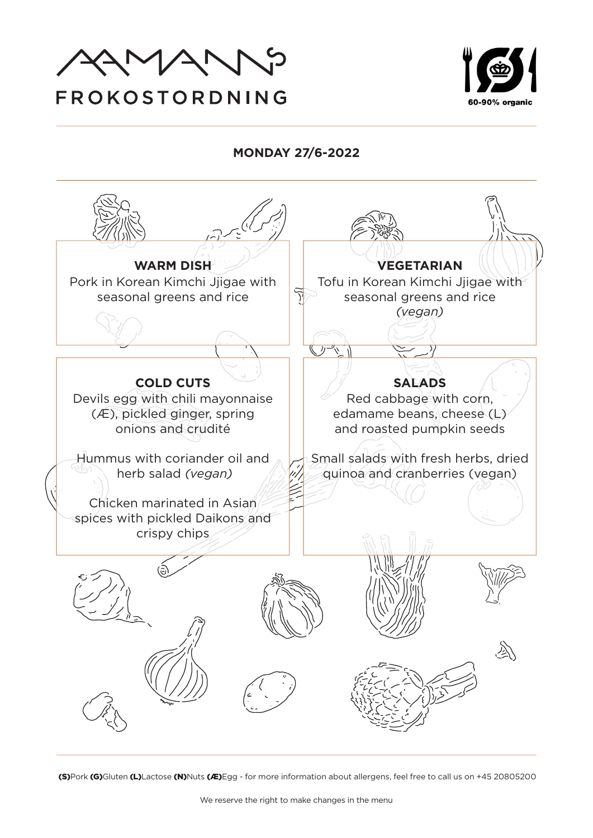



**MONDAY 27/6-2022**

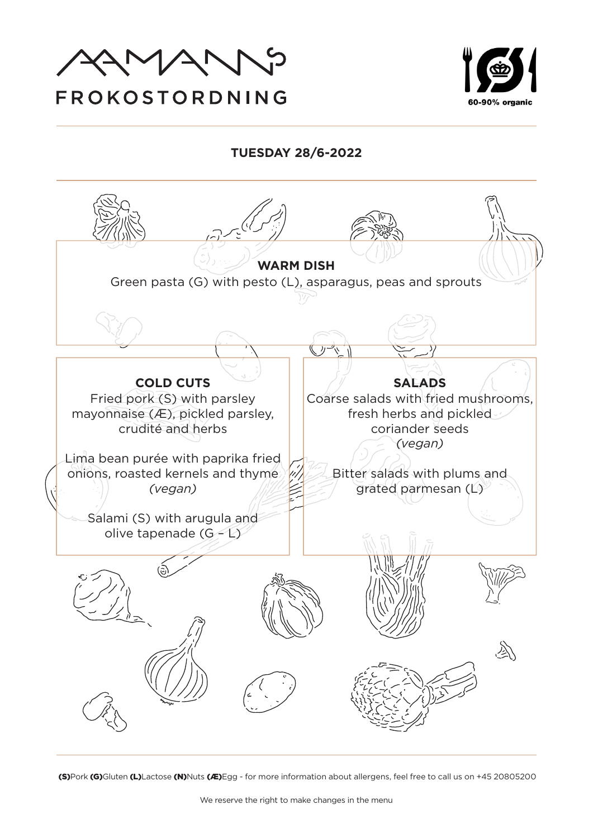



#### **TUESDAY 28/6-2022**

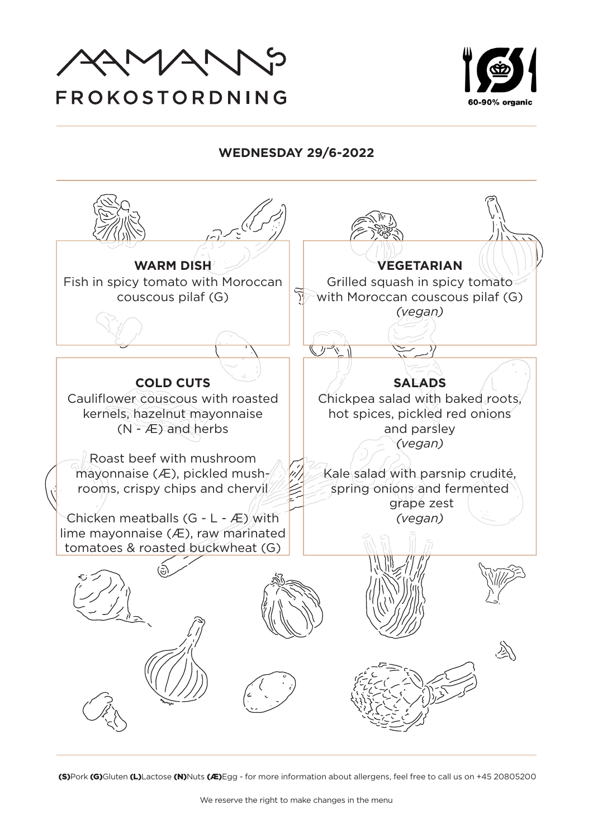

# 60-90% organic

#### **WEDNESDAY 29/6-2022**